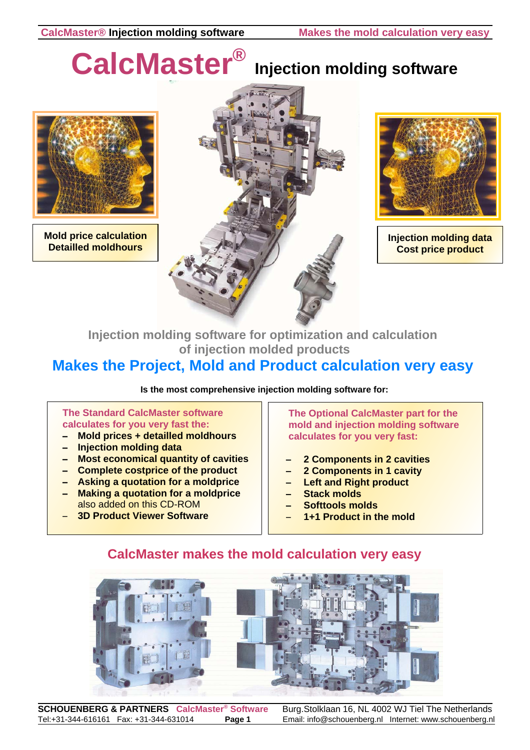# **CalcMaster®**

## **Injection molding software**



**Mold price calculation Detailled moldhours**





**Injection molding data Cost price product**

### **Injection molding software for optimization and calculation of injection molded products**

### **Makes the Project, Mold and Product calculation very easy**

**Is the most comprehensive injection molding software for:**

#### **The Standard CalcMaster software calculates for you very fast the:**

- $-$  Mold prices + detailled moldhours
- **Injection molding data**
- **Most economical quantity of cavities**
- Complete costprice of the product
- **Asking a quotation for a moldprice**
- Making a quotation for a moldprice also added on this CD-ROM
- **3D Product Viewer Software**

**The Optional CalcMaster part for the mold and injection molding software calculates for you very fast:**

- **2 Components in 2 cavities**
- **2 Components in 1 cavity**
- **Left and Right product**
- **Stack molds**
- S **Softtools molds**
- **1+1 Product in the mold**

## **CalcMaster makes the mold calculation very easy**



**SCHOUENBERG & PARTNERS** CalcMaster® Software Burg.Stolklaan 16, NL 4002 WJ Tiel The Netherlands Tel:+31-344-616161 Fax: +31-344-631014 **Page 1** Email: info@schouenberg.nl Internet: www.schouenberg.nl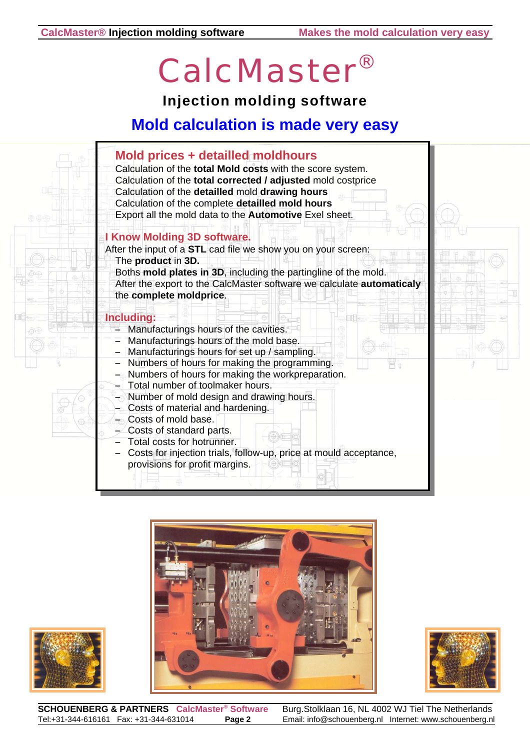# CalcMaster®

**Injection molding software**

## **Mold calculation is made very easy**









**SCHOUENBERG & PARTNERS** CalcMaster® Software Burg.Stolklaan 16, NL 4002 WJ Tiel The Netherlands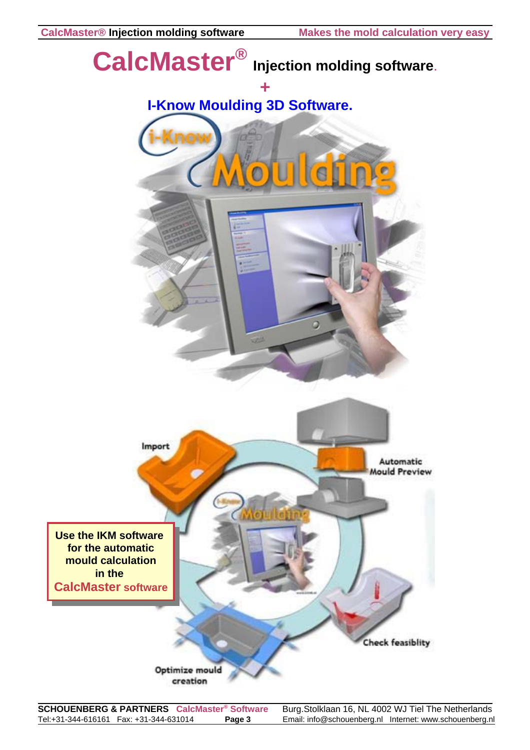

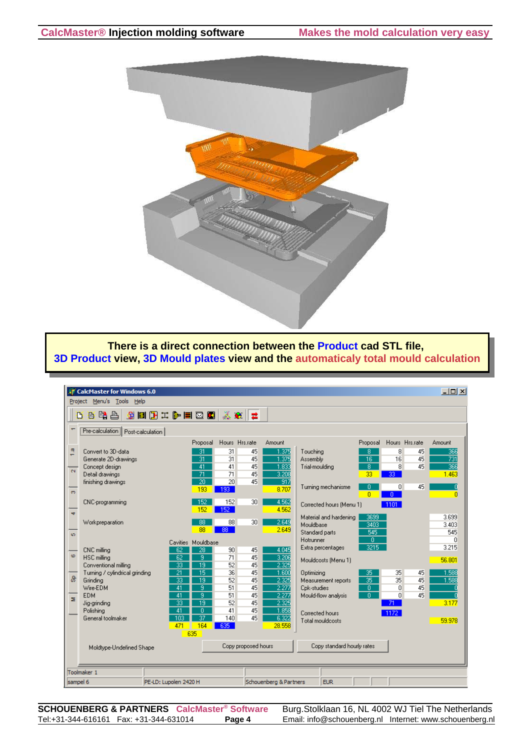

**There is a direct connection between the Product cad STL file, 3D Product view, 3D Mould plates view and the automaticaly total mould calculation**

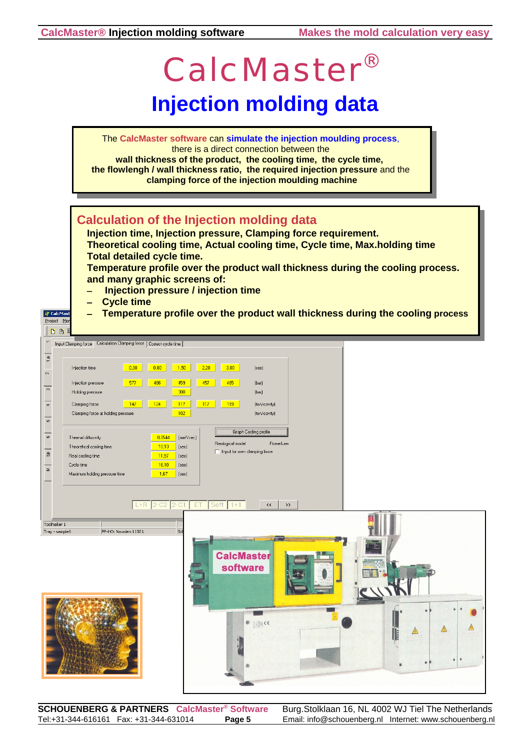$\frac{a}{1}$ 

 $\sim$ 

 $\overline{\circ}$ 

 $\frac{1}{4}$ 

 $\frac{1}{5}$ 

 $\frac{1}{\infty}$ 

 $\delta$ 

 $\geq$ 

#### **CalcMaster® Injection molding software Makes the mold calculation very easy** CalcMaster® **Injection molding data** The **CalcMaster software** can **simulate the injection moulding process**, there is a direct connection between the **wall thickness of the product, the cooling time, the cycle time, the flowlengh / wall thickness ratio, the required injection pressure** and the **clamping force of the injection moulding machine Calculation of the Injection molding data Injection time, Injection pressure, Clamping force requirement. Theoretical cooling time, Actual cooling time, Cycle time, Max.holding time Total detailed cycle time. Temperature profile over the product wall thickness during the cooling process. and many graphic screens of: Injection pressure / injection time Cycle time Temperature profile over the product wall thickness during the cooling process IF** CalcMay Project Me  $\mathbf{B}$ The United States Calculation Clamping force | Correct cycle time | Injection time 0.30 0.80 1.50 2.20 3.00  $[sec]$ Injection pressure 577 486 459 457 465  $(bar)$  $300$ Holding pressure  $(bar)$  $\begin{array}{|c|c|c|c|c|}\n\hline\n\textbf{147} & \textbf{124} \\
\hline\n\end{array}$ Clamping force  $\begin{array}{|c|c|c|c|c|c|}\n\hline\n\textbf{117} & \textbf{117} & \textbf{119}\n\end{array}$ (ton/cavity)  $102$ Clamping force at holding pressure (ton/cavity) Graph Cooling profile  $\begin{array}{|c|c|c|}\hline 0.0544 & (\text{mm}^2/\text{sec}) \\ \hline \end{array}$ Thermal diffusivity Reological model PowerLaw  $\begin{array}{|c|c|c|} \hline \textbf{10,13} & \textbf{(sec)} \\ \hline \end{array}$ Theoretical cooling time Input for own clamping force Real cooling time  $\begin{array}{|c|c|c|} \hline \textbf{11.57} & \textbf{(sec)} \\ \hline \end{array}$  $\begin{array}{|c|c|}\n\hline\n\text{16,10} \\
\hline\n\text{1,67}\n\end{array}$ Cycle time  $\vert$  (sec) Maximum holding pressure time  $\vert$  (sec)  $\left\langle \left\langle \right\rangle \right| \rightarrow$ Toolmaker 1 Tray - sample6 PP-HO: Novolen 1100 L **CalcMaster** software

**SCHOUENBERG & PARTNERS CalcMaster® Software** Burg.Stolklaan 16, NL 4002 WJ Tiel The Netherlands Tel:+31-344-616161 Fax: +31-344-631014 **Page 5** Email: info@schouenberg.nl Internet: www.schouenberg.nl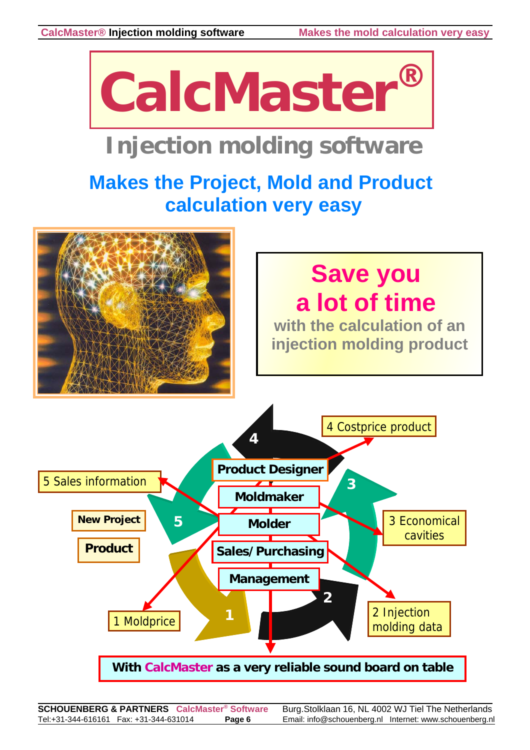

## **Injection molding software**

## **Makes the Project, Mold and Product calculation very easy**

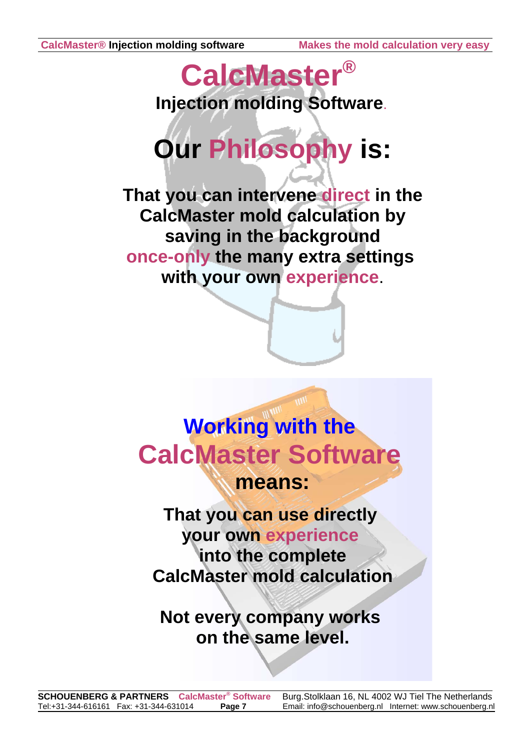## **CalcMaster® Injection molding Software**.

# **Our Philosophy is:**

**That you can intervene direct in the CalcMaster mold calculation by saving in the background once-only the many extra settings with your own experience**.



**That you can use directly your own experience into the complete CalcMaster mold calculation**

**Not every company works on the same level.**